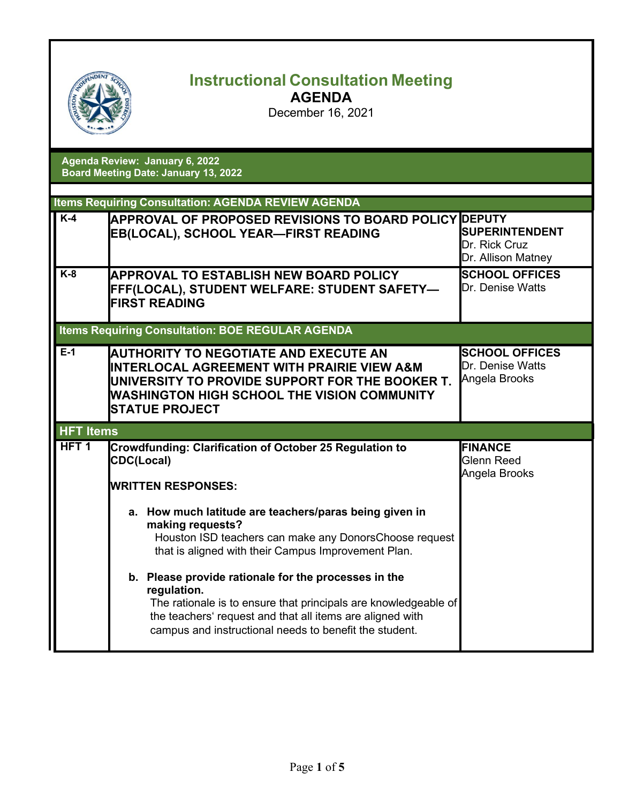| OFFENDE<br>iCHO |
|-----------------|
|-----------------|

## **Instructional Consultation Meeting**

**AGENDA**

December 16, 2021

| Agenda Review: January 6, 2022              |  |  |
|---------------------------------------------|--|--|
| <b>Board Meeting Date: January 13, 2022</b> |  |  |

|                  | <b>Items Requiring Consultation: AGENDA REVIEW AGENDA</b>                                                                                                                                                                    |                                                              |  |
|------------------|------------------------------------------------------------------------------------------------------------------------------------------------------------------------------------------------------------------------------|--------------------------------------------------------------|--|
| $K-4$            | <b>APPROVAL OF PROPOSED REVISIONS TO BOARD POLICY DEPUTY</b><br><b>EB(LOCAL), SCHOOL YEAR-FIRST READING</b>                                                                                                                  | <b>SUPERINTENDENT</b><br>Dr. Rick Cruz<br>Dr. Allison Matney |  |
| $K-8$            | <b>APPROVAL TO ESTABLISH NEW BOARD POLICY</b><br>FFF(LOCAL), STUDENT WELFARE: STUDENT SAFETY—<br><b>FIRST READING</b>                                                                                                        | <b>SCHOOL OFFICES</b><br>Dr. Denise Watts                    |  |
|                  | <b>Items Requiring Consultation: BOE REGULAR AGENDA</b>                                                                                                                                                                      |                                                              |  |
| $E-1$            | <b>AUTHORITY TO NEGOTIATE AND EXECUTE AN</b><br>INTERLOCAL AGREEMENT WITH PRAIRIE VIEW A&M<br>UNIVERSITY TO PROVIDE SUPPORT FOR THE BOOKER T.<br><b>WASHINGTON HIGH SCHOOL THE VISION COMMUNITY</b><br><b>STATUE PROJECT</b> | <b>SCHOOL OFFICES</b><br>Dr. Denise Watts<br>Angela Brooks   |  |
| <b>HFT Items</b> |                                                                                                                                                                                                                              |                                                              |  |
|                  |                                                                                                                                                                                                                              |                                                              |  |
| HFT <sub>1</sub> | Crowdfunding: Clarification of October 25 Regulation to<br><b>CDC(Local)</b><br><b>WRITTEN RESPONSES:</b>                                                                                                                    | <b>FINANCE</b><br><b>Glenn Reed</b><br>Angela Brooks         |  |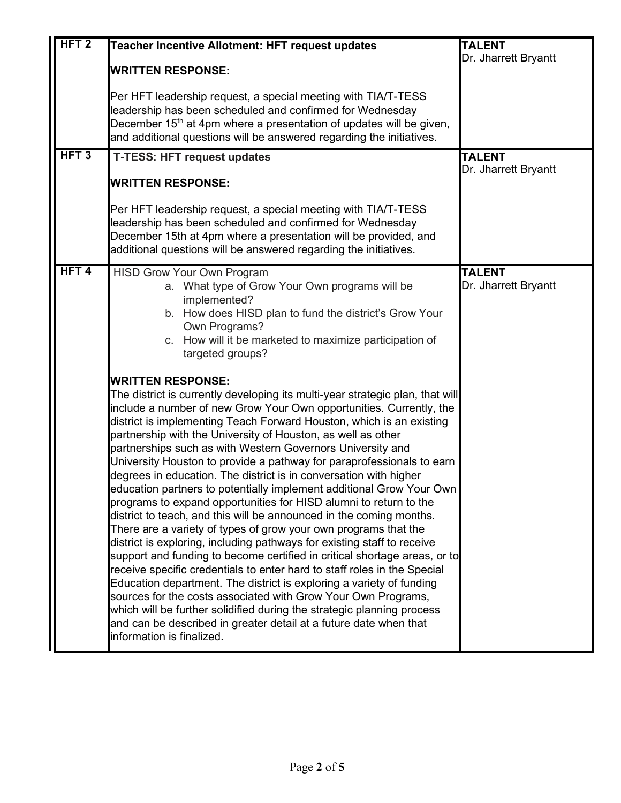| HFT <sub>2</sub><br>HFT <sub>3</sub> | Teacher Incentive Allotment: HFT request updates<br><b>WRITTEN RESPONSE:</b><br>Per HFT leadership request, a special meeting with TIA/T-TESS<br>leadership has been scheduled and confirmed for Wednesday<br>December 15 <sup>th</sup> at 4pm where a presentation of updates will be given,<br>and additional questions will be answered regarding the initiatives.<br><b>T-TESS: HFT request updates</b>                                                                                                                                                                                                                                                                                                                                                                                                                                                                                                                                                                                                                                                                                                                                                                                                                                                                                                                                                                                                                                                                                                                                                                                                                                           | <b>TALENT</b><br>Dr. Jharrett Bryantt<br><b>TALENT</b> |
|--------------------------------------|-------------------------------------------------------------------------------------------------------------------------------------------------------------------------------------------------------------------------------------------------------------------------------------------------------------------------------------------------------------------------------------------------------------------------------------------------------------------------------------------------------------------------------------------------------------------------------------------------------------------------------------------------------------------------------------------------------------------------------------------------------------------------------------------------------------------------------------------------------------------------------------------------------------------------------------------------------------------------------------------------------------------------------------------------------------------------------------------------------------------------------------------------------------------------------------------------------------------------------------------------------------------------------------------------------------------------------------------------------------------------------------------------------------------------------------------------------------------------------------------------------------------------------------------------------------------------------------------------------------------------------------------------------|--------------------------------------------------------|
|                                      | <b>WRITTEN RESPONSE:</b><br>Per HFT leadership request, a special meeting with TIA/T-TESS<br>leadership has been scheduled and confirmed for Wednesday<br>December 15th at 4pm where a presentation will be provided, and<br>additional questions will be answered regarding the initiatives.                                                                                                                                                                                                                                                                                                                                                                                                                                                                                                                                                                                                                                                                                                                                                                                                                                                                                                                                                                                                                                                                                                                                                                                                                                                                                                                                                         | Dr. Jharrett Bryantt                                   |
| HFT <sub>4</sub>                     | <b>HISD Grow Your Own Program</b><br>a. What type of Grow Your Own programs will be<br>implemented?<br>b. How does HISD plan to fund the district's Grow Your<br>Own Programs?<br>c. How will it be marketed to maximize participation of<br>targeted groups?<br><b>WRITTEN RESPONSE:</b><br>The district is currently developing its multi-year strategic plan, that will<br>include a number of new Grow Your Own opportunities. Currently, the<br>district is implementing Teach Forward Houston, which is an existing<br>partnership with the University of Houston, as well as other<br>partnerships such as with Western Governors University and<br>University Houston to provide a pathway for paraprofessionals to earn<br>degrees in education. The district is in conversation with higher<br>education partners to potentially implement additional Grow Your Own<br>programs to expand opportunities for HISD alumni to return to the<br>district to teach, and this will be announced in the coming months.<br>There are a variety of types of grow your own programs that the<br>district is exploring, including pathways for existing staff to receive<br>support and funding to become certified in critical shortage areas, or to<br>receive specific credentials to enter hard to staff roles in the Special<br>Education department. The district is exploring a variety of funding<br>sources for the costs associated with Grow Your Own Programs,<br>which will be further solidified during the strategic planning process<br>and can be described in greater detail at a future date when that<br>information is finalized. | <b>TALENT</b><br>Dr. Jharrett Bryantt                  |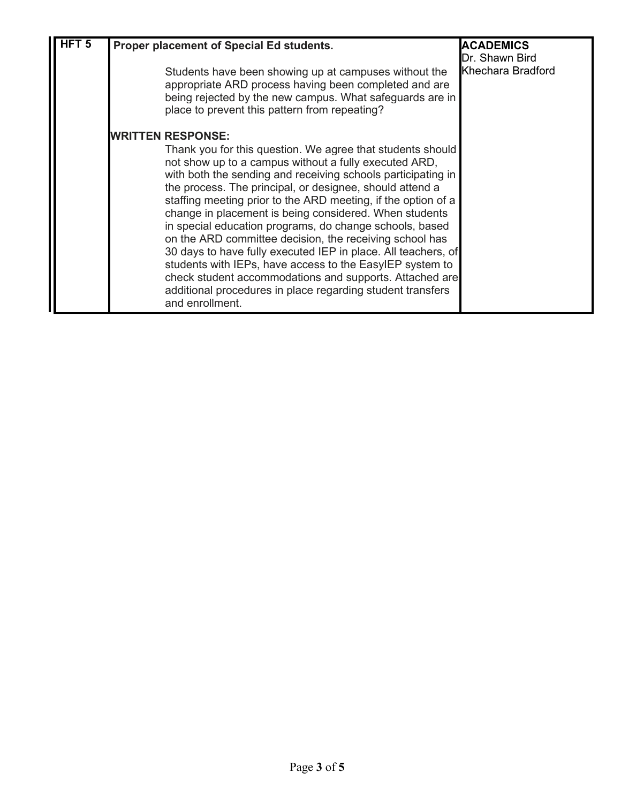| HFT $\overline{5}$ | Proper placement of Special Ed students.<br>Students have been showing up at campuses without the<br>appropriate ARD process having been completed and are<br>being rejected by the new campus. What safeguards are in<br>place to prevent this pattern from repeating?                                                                                                                                                                                                                                                                                                                                                                                                                                                                                                                                | <b>ACADEMICS</b><br>Dr. Shawn Bird<br>Khechara Bradford |
|--------------------|--------------------------------------------------------------------------------------------------------------------------------------------------------------------------------------------------------------------------------------------------------------------------------------------------------------------------------------------------------------------------------------------------------------------------------------------------------------------------------------------------------------------------------------------------------------------------------------------------------------------------------------------------------------------------------------------------------------------------------------------------------------------------------------------------------|---------------------------------------------------------|
|                    | <b>IWRITTEN RESPONSE:</b><br>Thank you for this question. We agree that students should<br>not show up to a campus without a fully executed ARD,<br>with both the sending and receiving schools participating in<br>the process. The principal, or designee, should attend a<br>staffing meeting prior to the ARD meeting, if the option of a<br>change in placement is being considered. When students<br>in special education programs, do change schools, based<br>on the ARD committee decision, the receiving school has<br>30 days to have fully executed IEP in place. All teachers, of<br>students with IEPs, have access to the EasyIEP system to<br>check student accommodations and supports. Attached are<br>additional procedures in place regarding student transfers<br>and enrollment. |                                                         |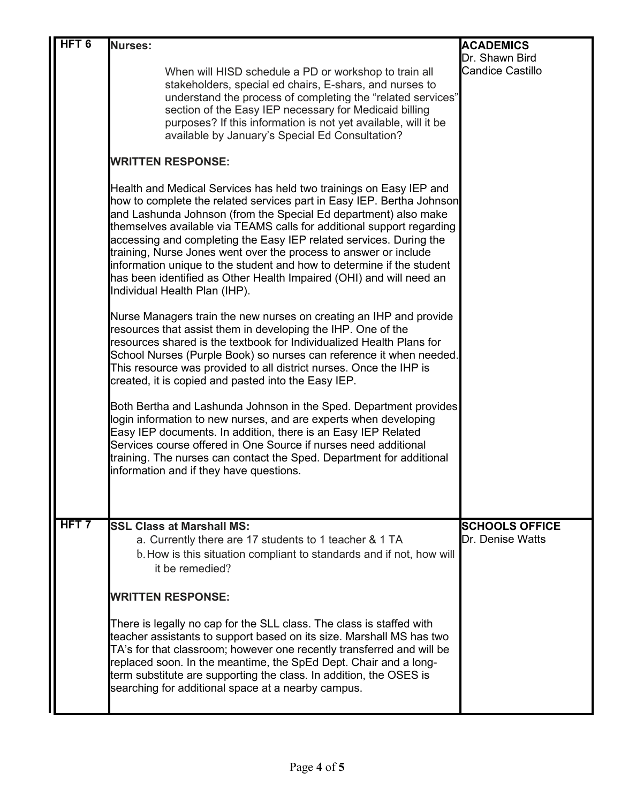| HFT <sub>6</sub> |                                                                                                                                                                                                                                                                                                                                                                                                                                                                                                                                                                                                                    |                                           |
|------------------|--------------------------------------------------------------------------------------------------------------------------------------------------------------------------------------------------------------------------------------------------------------------------------------------------------------------------------------------------------------------------------------------------------------------------------------------------------------------------------------------------------------------------------------------------------------------------------------------------------------------|-------------------------------------------|
|                  | <b>Nurses:</b>                                                                                                                                                                                                                                                                                                                                                                                                                                                                                                                                                                                                     | <b>ACADEMICS</b><br>Dr. Shawn Bird        |
|                  | When will HISD schedule a PD or workshop to train all<br>stakeholders, special ed chairs, E-shars, and nurses to<br>understand the process of completing the "related services"<br>section of the Easy IEP necessary for Medicaid billing<br>purposes? If this information is not yet available, will it be<br>available by January's Special Ed Consultation?                                                                                                                                                                                                                                                     | <b>Candice Castillo</b>                   |
|                  | <b>WRITTEN RESPONSE:</b>                                                                                                                                                                                                                                                                                                                                                                                                                                                                                                                                                                                           |                                           |
|                  | Health and Medical Services has held two trainings on Easy IEP and<br>how to complete the related services part in Easy IEP. Bertha Johnson<br>and Lashunda Johnson (from the Special Ed department) also make<br>themselves available via TEAMS calls for additional support regarding<br>accessing and completing the Easy IEP related services. During the<br>training, Nurse Jones went over the process to answer or include<br>information unique to the student and how to determine if the student<br>has been identified as Other Health Impaired (OHI) and will need an<br>Individual Health Plan (IHP). |                                           |
|                  | Nurse Managers train the new nurses on creating an IHP and provide<br>resources that assist them in developing the IHP. One of the<br>resources shared is the textbook for Individualized Health Plans for<br>School Nurses (Purple Book) so nurses can reference it when needed.<br>This resource was provided to all district nurses. Once the IHP is<br>created, it is copied and pasted into the Easy IEP.                                                                                                                                                                                                     |                                           |
|                  | Both Bertha and Lashunda Johnson in the Sped. Department provides<br>login information to new nurses, and are experts when developing<br>Easy IEP documents. In addition, there is an Easy IEP Related<br>Services course offered in One Source if nurses need additional<br>training. The nurses can contact the Sped. Department for additional<br>information and if they have questions.                                                                                                                                                                                                                       |                                           |
|                  |                                                                                                                                                                                                                                                                                                                                                                                                                                                                                                                                                                                                                    |                                           |
| $HFT$ 7          | <b>SSL Class at Marshall MS:</b><br>a. Currently there are 17 students to 1 teacher & 1 TA<br>b. How is this situation compliant to standards and if not, how will<br>it be remedied?                                                                                                                                                                                                                                                                                                                                                                                                                              | <b>SCHOOLS OFFICE</b><br>Dr. Denise Watts |
|                  | <b>WRITTEN RESPONSE:</b>                                                                                                                                                                                                                                                                                                                                                                                                                                                                                                                                                                                           |                                           |
|                  | There is legally no cap for the SLL class. The class is staffed with<br>teacher assistants to support based on its size. Marshall MS has two<br>TA's for that classroom; however one recently transferred and will be<br>replaced soon. In the meantime, the SpEd Dept. Chair and a long-<br>term substitute are supporting the class. In addition, the OSES is<br>searching for additional space at a nearby campus.                                                                                                                                                                                              |                                           |